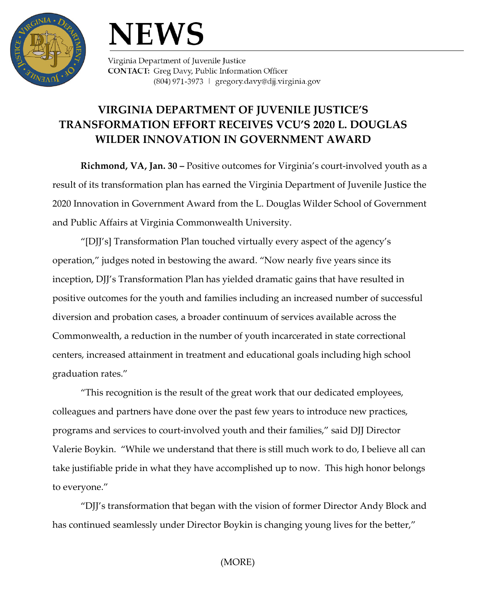

## **NEWS**

Virginia Department of Juvenile Justice **CONTACT:** Greg Davy, Public Information Officer (804) 971-3973 | gregory.davy@djj.virginia.gov

## **VIRGINIA DEPARTMENT OF JUVENILE JUSTICE'S TRANSFORMATION EFFORT RECEIVES VCU'S 2020 L. DOUGLAS WILDER INNOVATION IN GOVERNMENT AWARD**

**Richmond, VA, Jan. 30 –** Positive outcomes for Virginia's court-involved youth as a result of its transformation plan has earned the Virginia Department of Juvenile Justice the 2020 Innovation in Government Award from the L. Douglas Wilder School of Government and Public Affairs at Virginia Commonwealth University.

"[DJJ's] Transformation Plan touched virtually every aspect of the agency's operation," judges noted in bestowing the award. "Now nearly five years since its inception, DJJ's Transformation Plan has yielded dramatic gains that have resulted in positive outcomes for the youth and families including an increased number of successful diversion and probation cases, a broader continuum of services available across the Commonwealth, a reduction in the number of youth incarcerated in state correctional centers, increased attainment in treatment and educational goals including high school graduation rates."

"This recognition is the result of the great work that our dedicated employees, colleagues and partners have done over the past few years to introduce new practices, programs and services to court-involved youth and their families," said DJJ Director Valerie Boykin. "While we understand that there is still much work to do, I believe all can take justifiable pride in what they have accomplished up to now. This high honor belongs to everyone."

"DJJ's transformation that began with the vision of former Director Andy Block and has continued seamlessly under Director Boykin is changing young lives for the better,"